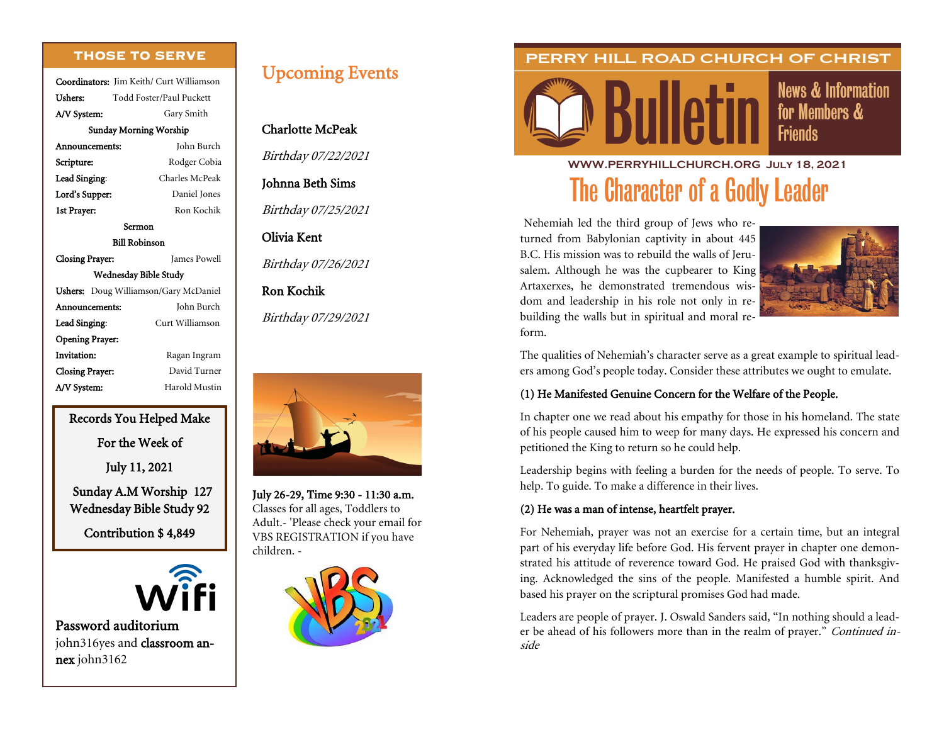#### **THOSE TO SERVE**

Coordinators: Jim Keith/ Curt Williamson Ushers: Todd Foster/Paul Puckett A/V System: Gary Smith Sunday Morning Worship Announcements: John Burch Scripture: Rodger Cobia Lead Singing: Charles McPeak Lord's Supper: Daniel Jones 1st Prayer: Ron Kochik Sermon Bill Robinson Closing Prayer: James Powell Wednesday Bible Study Ushers: Doug Williamson/Gary McDaniel Announcements: John Burch Lead Singing: Curt Williamson Opening Prayer: Invitation: Ragan Ingram Closing Prayer: David Turner A/V System: Harold Mustin

#### Records You Helped Make

For the Week of

July 11, 2021

 Sunday A.M Worship 127 Wednesday Bible Study 92

Contribution \$ 4,849



Password auditorium john316yes and classroom annex john3162

# Upcoming Events

# Charlotte McPeak

Birthday 07/22/2021

## Johnna Beth Sims

Birthday 07/25/2021

### Olivia Kent

Birthday 07/26/2021

# Ron Kochik

Birthday 07/29/2021



July 26-29, Time 9:30 - 11:30 a.m. Classes for all ages, Toddlers to Adult.- 'Please check your email for VBS REGISTRATION if you have children. -



## PERRY HILL ROAD CHURCH OF CHRIST



**News & Information** for Members & **Friends** 

**WWW.PERRYHILLCHURCH.ORG July 18, 2021** The Character of a Godly Leader

Nehemiah led the third group of Jews who returned from Babylonian captivity in about 445 B.C. His mission was to rebuild the walls of Jerusalem. Although he was the cupbearer to King Artaxerxes, he demonstrated tremendous wisdom and leadership in his role not only in rebuilding the walls but in spiritual and moral reform.



The qualities of Nehemiah's character serve as a great example to spiritual leaders among God's people today. Consider these attributes we ought to emulate.

### (1) He Manifested Genuine Concern for the Welfare of the People.

In chapter one we read about his empathy for those in his homeland. The state of his people caused him to weep for many days. He expressed his concern and petitioned the King to return so he could help.

Leadership begins with feeling a burden for the needs of people. To serve. To help. To guide. To make a difference in their lives.

#### (2) He was a man of intense, heartfelt prayer.

For Nehemiah, prayer was not an exercise for a certain time, but an integral part of his everyday life before God. His fervent prayer in chapter one demonstrated his attitude of reverence toward God. He praised God with thanksgiving. Acknowledged the sins of the people. Manifested a humble spirit. And based his prayer on the scriptural promises God had made.

Leaders are people of prayer. J. Oswald Sanders said, "In nothing should a leader be ahead of his followers more than in the realm of prayer." Continued inside